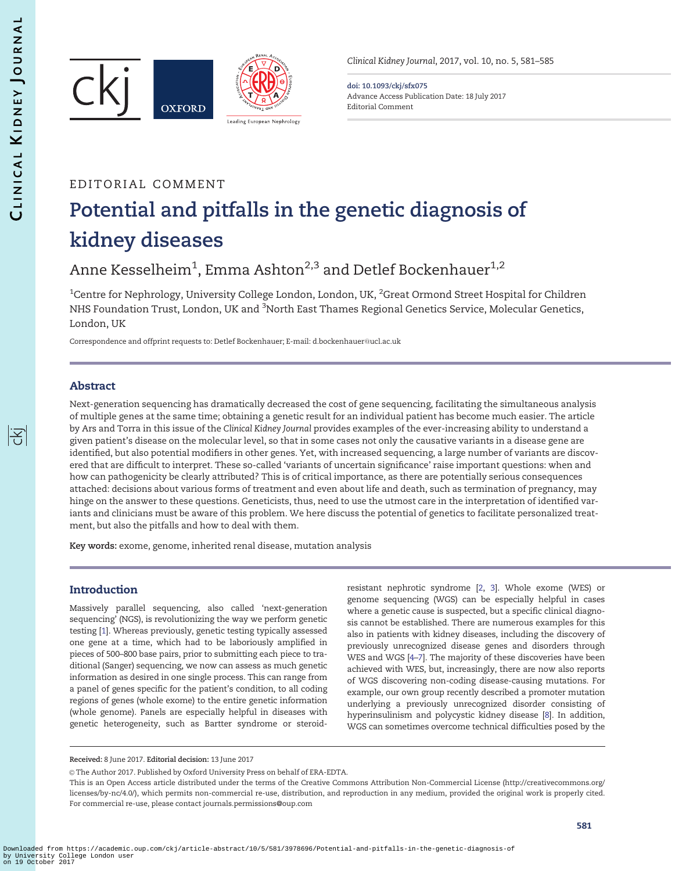ΙŦ





Clinical Kidney Journal, 2017, vol. 10, no. 5, 581–585

doi: 10.1093/ckj/sfx075 Advance Access Publication Date: 18 July 2017 Editorial Comment

# EDITORIAL COMMENT Potential and pitfalls in the genetic diagnosis of kidney diseases

# Anne Kesselheim $^1$ , Emma Ashton $^{2,3}$  and Detlef Bockenhauer $^{1,2}$

 $^{\rm 1}$ Centre for Nephrology, University College London, London, UK,  $^{\rm 2}$ Great Ormond Street Hospital for Children NHS Foundation Trust, London, UK and <sup>3</sup>North East Thames Regional Genetics Service, Molecular Genetics, London, UK

Correspondence and offprint requests to: Detlef Bockenhauer; E-mail: d.bockenhauer@ucl.ac.uk

# Abstract

Next-generation sequencing has dramatically decreased the cost of gene sequencing, facilitating the simultaneous analysis of multiple genes at the same time; obtaining a genetic result for an individual patient has become much easier. The article by Ars and Torra in this issue of the Clinical Kidney Journal provides examples of the ever-increasing ability to understand a given patient's disease on the molecular level, so that in some cases not only the causative variants in a disease gene are identified, but also potential modifiers in other genes. Yet, with increased sequencing, a large number of variants are discovered that are difficult to interpret. These so-called 'variants of uncertain significance' raise important questions: when and how can pathogenicity be clearly attributed? This is of critical importance, as there are potentially serious consequences attached: decisions about various forms of treatment and even about life and death, such as termination of pregnancy, may hinge on the answer to these questions. Geneticists, thus, need to use the utmost care in the interpretation of identified variants and clinicians must be aware of this problem. We here discuss the potential of genetics to facilitate personalized treatment, but also the pitfalls and how to deal with them.

Key words: exome, genome, inherited renal disease, mutation analysis

# Introduction

Massively parallel sequencing, also called 'next-generation sequencing' (NGS), is revolutionizing the way we perform genetic testing [\[1](#page-2-0)]. Whereas previously, genetic testing typically assessed one gene at a time, which had to be laboriously amplified in pieces of 500–800 base pairs, prior to submitting each piece to traditional (Sanger) sequencing, we now can assess as much genetic information as desired in one single process. This can range from a panel of genes specific for the patient's condition, to all coding regions of genes (whole exome) to the entire genetic information (whole genome). Panels are especially helpful in diseases with genetic heterogeneity, such as Bartter syndrome or steroidresistant nephrotic syndrome [\[2](#page-2-0), [3](#page-2-0)]. Whole exome (WES) or genome sequencing (WGS) can be especially helpful in cases where a genetic cause is suspected, but a specific clinical diagnosis cannot be established. There are numerous examples for this also in patients with kidney diseases, including the discovery of previously unrecognized disease genes and disorders through WES and WGS [[4–7\]](#page-3-0). The majority of these discoveries have been achieved with WES, but, increasingly, there are now also reports of WGS discovering non-coding disease-causing mutations. For example, our own group recently described a promoter mutation underlying a previously unrecognized disorder consisting of hyperinsulinism and polycystic kidney disease [\[8\]](#page-3-0). In addition, WGS can sometimes overcome technical difficulties posed by the

Received: 8 June 2017. Editorial decision: 13 June 2017

<sup>©</sup> The Author 2017. Published by Oxford University Press on behalf of ERA-EDTA.

This is an Open Access article distributed under the terms of the Creative Commons Attribution Non-Commercial License (http://creativecommons.org/ licenses/by-nc/4.0/), which permits non-commercial re-use, distribution, and reproduction in any medium, provided the original work is properly cited. For commercial re-use, please contact journals.permissions@oup.com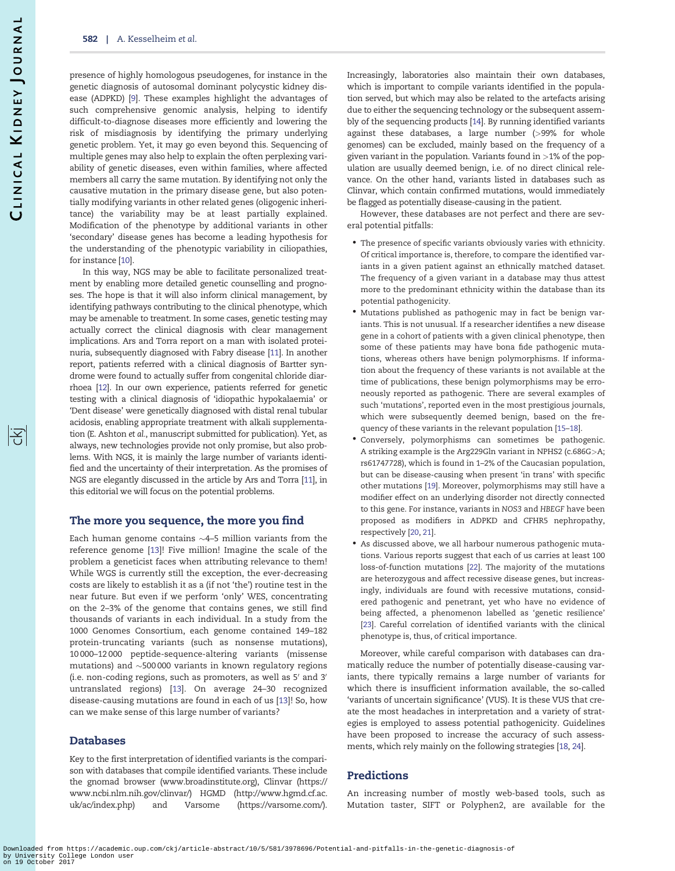presence of highly homologous pseudogenes, for instance in the genetic diagnosis of autosomal dominant polycystic kidney disease (ADPKD) [\[9](#page-3-0)]. These examples highlight the advantages of such comprehensive genomic analysis, helping to identify difficult-to-diagnose diseases more efficiently and lowering the risk of misdiagnosis by identifying the primary underlying genetic problem. Yet, it may go even beyond this. Sequencing of multiple genes may also help to explain the often perplexing variability of genetic diseases, even within families, where affected members all carry the same mutation. By identifying not only the causative mutation in the primary disease gene, but also potentially modifying variants in other related genes (oligogenic inheritance) the variability may be at least partially explained. Modification of the phenotype by additional variants in other 'secondary' disease genes has become a leading hypothesis for the understanding of the phenotypic variability in ciliopathies, for instance [[10\]](#page-3-0).

In this way, NGS may be able to facilitate personalized treatment by enabling more detailed genetic counselling and prognoses. The hope is that it will also inform clinical management, by identifying pathways contributing to the clinical phenotype, which may be amenable to treatment. In some cases, genetic testing may actually correct the clinical diagnosis with clear management implications. Ars and Torra report on a man with isolated proteinuria, subsequently diagnosed with Fabry disease [\[11](#page-3-0)]. In another report, patients referred with a clinical diagnosis of Bartter syndrome were found to actually suffer from congenital chloride diarrhoea [\[12](#page-3-0)]. In our own experience, patients referred for genetic testing with a clinical diagnosis of 'idiopathic hypokalaemia' or 'Dent disease' were genetically diagnosed with distal renal tubular acidosis, enabling appropriate treatment with alkali supplementation (E. Ashton et al., manuscript submitted for publication). Yet, as always, new technologies provide not only promise, but also problems. With NGS, it is mainly the large number of variants identified and the uncertainty of their interpretation. As the promises of NGS are elegantly discussed in the article by Ars and Torra [[11\]](#page-3-0), in this editorial we will focus on the potential problems.

### The more you sequence, the more you find

Each human genome contains  ${\sim}$ 4–5 million variants from the reference genome [\[13\]](#page-3-0)! Five million! Imagine the scale of the problem a geneticist faces when attributing relevance to them! While WGS is currently still the exception, the ever-decreasing costs are likely to establish it as a (if not 'the') routine test in the near future. But even if we perform 'only' WES, concentrating on the 2–3% of the genome that contains genes, we still find thousands of variants in each individual. In a study from the 1000 Genomes Consortium, each genome contained 149–182 protein-truncating variants (such as nonsense mutations), 10 000–12 000 peptide-sequence-altering variants (missense mutations) and  $\sim$ 500 000 variants in known regulatory regions (i.e. non-coding regions, such as promoters, as well as  $5'$  and  $3'$ untranslated regions) [\[13\]](#page-3-0). On average 24–30 recognized disease-causing mutations are found in each of us [[13](#page-3-0)]! So, how can we make sense of this large number of variants?

#### Databases

Key to the first interpretation of identified variants is the comparison with databases that compile identified variants. These include the gnomad browser [\(www.broadinstitute.org](http://www.broadinstitute.org)), Clinvar ([https://](https://www.ncbi.nlm.nih.gov/clinvar/) [www.ncbi.nlm.nih.gov/clinvar/\)](https://www.ncbi.nlm.nih.gov/clinvar/) HGMD [\(http://www.hgmd.cf.ac.](http://www.hgmd.cf.ac.uk/ac/index.php) [uk/ac/index.php](http://www.hgmd.cf.ac.uk/ac/index.php)) and Varsome [\(https://varsome.com/\)](https://varsome.com/).

Increasingly, laboratories also maintain their own databases, which is important to compile variants identified in the population served, but which may also be related to the artefacts arising due to either the sequencing technology or the subsequent assembly of the sequencing products [[14\]](#page-3-0). By running identified variants against these databases, a large number (>99% for whole genomes) can be excluded, mainly based on the frequency of a given variant in the population. Variants found in  $>1\%$  of the population are usually deemed benign, i.e. of no direct clinical relevance. On the other hand, variants listed in databases such as Clinvar, which contain confirmed mutations, would immediately be flagged as potentially disease-causing in the patient.

However, these databases are not perfect and there are several potential pitfalls:

- The presence of specific variants obviously varies with ethnicity. Of critical importance is, therefore, to compare the identified variants in a given patient against an ethnically matched dataset. The frequency of a given variant in a database may thus attest more to the predominant ethnicity within the database than its potential pathogenicity.
- Mutations published as pathogenic may in fact be benign variants. This is not unusual. If a researcher identifies a new disease gene in a cohort of patients with a given clinical phenotype, then some of these patients may have bona fide pathogenic mutations, whereas others have benign polymorphisms. If information about the frequency of these variants is not available at the time of publications, these benign polymorphisms may be erroneously reported as pathogenic. There are several examples of such 'mutations', reported even in the most prestigious journals, which were subsequently deemed benign, based on the frequency of these variants in the relevant population [[15–18\]](#page-3-0).
- Conversely, polymorphisms can sometimes be pathogenic. A striking example is the Arg229Gln variant in NPHS2 (c.686G>A; rs61747728), which is found in 1–2% of the Caucasian population, but can be disease-causing when present 'in trans' with specific other mutations [[19](#page-3-0)]. Moreover, polymorphisms may still have a modifier effect on an underlying disorder not directly connected to this gene. For instance, variants in NOS3 and HBEGF have been proposed as modifiers in ADPKD and CFHR5 nephropathy, respectively [\[20](#page-3-0), [21\]](#page-3-0).
- As discussed above, we all harbour numerous pathogenic mutations. Various reports suggest that each of us carries at least 100 loss-of-function mutations [\[22\]](#page-3-0). The majority of the mutations are heterozygous and affect recessive disease genes, but increasingly, individuals are found with recessive mutations, considered pathogenic and penetrant, yet who have no evidence of being affected, a phenomenon labelled as 'genetic resilience' [[23](#page-3-0)]. Careful correlation of identified variants with the clinical phenotype is, thus, of critical importance.

Moreover, while careful comparison with databases can dramatically reduce the number of potentially disease-causing variants, there typically remains a large number of variants for which there is insufficient information available, the so-called 'variants of uncertain significance' (VUS). It is these VUS that create the most headaches in interpretation and a variety of strategies is employed to assess potential pathogenicity. Guidelines have been proposed to increase the accuracy of such assessments, which rely mainly on the following strategies [\[18,](#page-3-0) [24](#page-3-0)].

## Predictions

An increasing number of mostly web-based tools, such as Mutation taster, SIFT or Polyphen2, are available for the

ĪŦ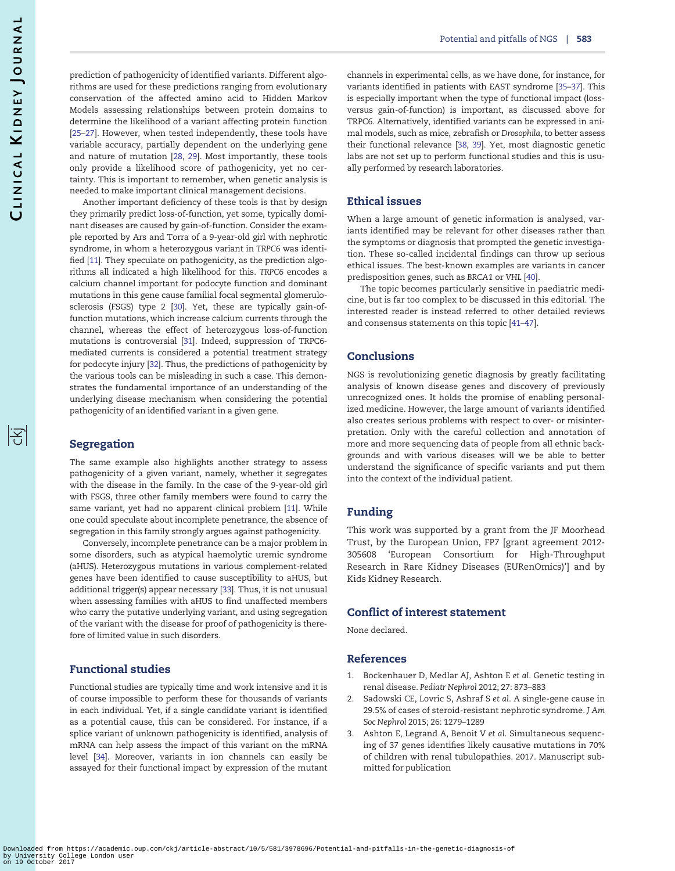序

<span id="page-2-0"></span>prediction of pathogenicity of identified variants. Different algorithms are used for these predictions ranging from evolutionary conservation of the affected amino acid to Hidden Markov Models assessing relationships between protein domains to determine the likelihood of a variant affecting protein function [\[25–27\]](#page-3-0). However, when tested independently, these tools have variable accuracy, partially dependent on the underlying gene and nature of mutation [\[28,](#page-3-0) [29\]](#page-3-0). Most importantly, these tools only provide a likelihood score of pathogenicity, yet no certainty. This is important to remember, when genetic analysis is needed to make important clinical management decisions.

Another important deficiency of these tools is that by design they primarily predict loss-of-function, yet some, typically dominant diseases are caused by gain-of-function. Consider the example reported by Ars and Torra of a 9-year-old girl with nephrotic syndrome, in whom a heterozygous variant in TRPC6 was identified [\[11](#page-3-0)]. They speculate on pathogenicity, as the prediction algorithms all indicated a high likelihood for this. TRPC6 encodes a calcium channel important for podocyte function and dominant mutations in this gene cause familial focal segmental glomerulosclerosis (FSGS) type 2 [\[30](#page-3-0)]. Yet, these are typically gain-offunction mutations, which increase calcium currents through the channel, whereas the effect of heterozygous loss-of-function mutations is controversial [[31\]](#page-3-0). Indeed, suppression of TRPC6 mediated currents is considered a potential treatment strategy for podocyte injury [[32\]](#page-3-0). Thus, the predictions of pathogenicity by the various tools can be misleading in such a case. This demonstrates the fundamental importance of an understanding of the underlying disease mechanism when considering the potential pathogenicity of an identified variant in a given gene.

# Segregation

The same example also highlights another strategy to assess pathogenicity of a given variant, namely, whether it segregates with the disease in the family. In the case of the 9-year-old girl with FSGS, three other family members were found to carry the same variant, yet had no apparent clinical problem [\[11](#page-3-0)]. While one could speculate about incomplete penetrance, the absence of segregation in this family strongly argues against pathogenicity.

Conversely, incomplete penetrance can be a major problem in some disorders, such as atypical haemolytic uremic syndrome (aHUS). Heterozygous mutations in various complement-related genes have been identified to cause susceptibility to aHUS, but additional trigger(s) appear necessary [[33\]](#page-3-0). Thus, it is not unusual when assessing families with aHUS to find unaffected members who carry the putative underlying variant, and using segregation of the variant with the disease for proof of pathogenicity is therefore of limited value in such disorders.

# Functional studies

Functional studies are typically time and work intensive and it is of course impossible to perform these for thousands of variants in each individual. Yet, if a single candidate variant is identified as a potential cause, this can be considered. For instance, if a splice variant of unknown pathogenicity is identified, analysis of mRNA can help assess the impact of this variant on the mRNA level [\[34](#page-3-0)]. Moreover, variants in ion channels can easily be assayed for their functional impact by expression of the mutant

channels in experimental cells, as we have done, for instance, for variants identified in patients with EAST syndrome [[35–37\]](#page-3-0). This is especially important when the type of functional impact (lossversus gain-of-function) is important, as discussed above for TRPC6. Alternatively, identified variants can be expressed in animal models, such as mice, zebrafish or Drosophila, to better assess their functional relevance [\[38,](#page-3-0) [39\]](#page-3-0). Yet, most diagnostic genetic labs are not set up to perform functional studies and this is usually performed by research laboratories.

### Ethical issues

When a large amount of genetic information is analysed, variants identified may be relevant for other diseases rather than the symptoms or diagnosis that prompted the genetic investigation. These so-called incidental findings can throw up serious ethical issues. The best-known examples are variants in cancer predisposition genes, such as BRCA1 or VHL [[40\]](#page-3-0).

The topic becomes particularly sensitive in paediatric medicine, but is far too complex to be discussed in this editorial. The interested reader is instead referred to other detailed reviews and consensus statements on this topic [\[41–](#page-3-0)[47\]](#page-4-0).

#### Conclusions

NGS is revolutionizing genetic diagnosis by greatly facilitating analysis of known disease genes and discovery of previously unrecognized ones. It holds the promise of enabling personalized medicine. However, the large amount of variants identified also creates serious problems with respect to over- or misinterpretation. Only with the careful collection and annotation of more and more sequencing data of people from all ethnic backgrounds and with various diseases will we be able to better understand the significance of specific variants and put them into the context of the individual patient.

## Funding

This work was supported by a grant from the JF Moorhead Trust, by the European Union, FP7 [grant agreement 2012- 305608 'European Consortium for High-Throughput Research in Rare Kidney Diseases (EURenOmics)'] and by Kids Kidney Research.

# Conflict of interest statement

None declared.

#### References

- 1. Bockenhauer D, Medlar AJ, Ashton E et al. Genetic testing in renal disease. Pediatr Nephrol 2012; 27: 873–883
- 2. Sadowski CE, Lovric S, Ashraf S et al. A single-gene cause in 29.5% of cases of steroid-resistant nephrotic syndrome. J Am Soc Nephrol 2015; 26: 1279–1289
- 3. Ashton E, Legrand A, Benoit V et al. Simultaneous sequencing of 37 genes identifies likely causative mutations in 70% of children with renal tubulopathies. 2017. Manuscript submitted for publication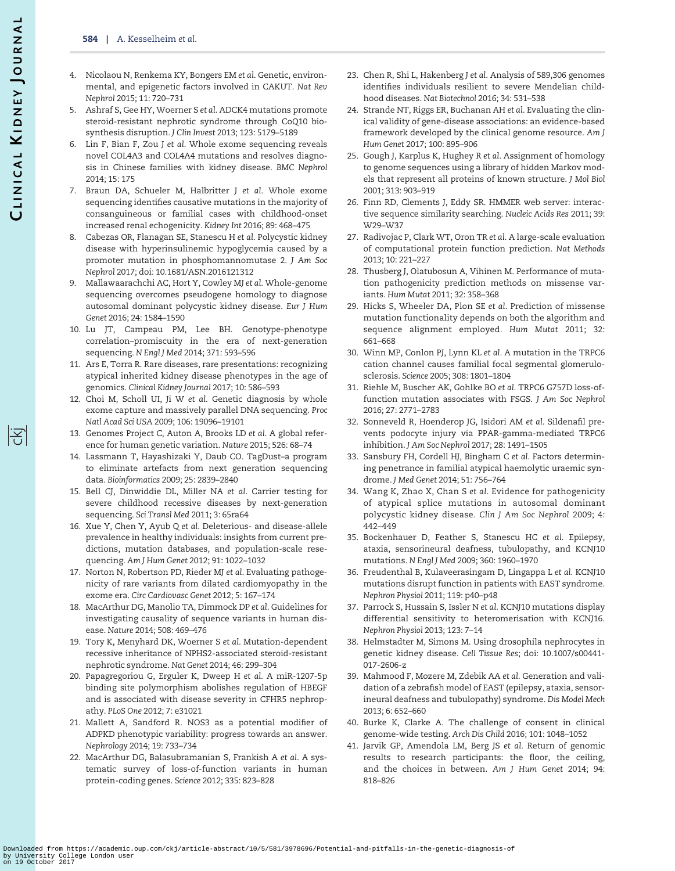- <span id="page-3-0"></span>4. Nicolaou N, Renkema KY, Bongers EM et al. Genetic, environmental, and epigenetic factors involved in CAKUT. Nat Rev Nephrol 2015; 11: 720–731
- 5. Ashraf S, Gee HY, Woerner S et al. ADCK4 mutations promote steroid-resistant nephrotic syndrome through CoQ10 biosynthesis disruption. J Clin Invest 2013; 123: 5179–5189
- Lin F, Bian F, Zou J et al. Whole exome sequencing reveals novel COL4A3 and COL4A4 mutations and resolves diagnosis in Chinese families with kidney disease. BMC Nephrol 2014; 15: 175
- 7. Braun DA, Schueler M, Halbritter J et al. Whole exome sequencing identifies causative mutations in the majority of consanguineous or familial cases with childhood-onset increased renal echogenicity. Kidney Int 2016; 89: 468–475
- 8. Cabezas OR, Flanagan SE, Stanescu H et al. Polycystic kidney disease with hyperinsulinemic hypoglycemia caused by a promoter mutation in phosphomannomutase 2. J Am Soc Nephrol 2017; doi: 10.1681/ASN.2016121312
- 9. Mallawaarachchi AC, Hort Y, Cowley MJ et al. Whole-genome sequencing overcomes pseudogene homology to diagnose autosomal dominant polycystic kidney disease. Eur J Hum Genet 2016; 24: 1584–1590
- 10. Lu JT, Campeau PM, Lee BH. Genotype-phenotype correlation–promiscuity in the era of next-generation sequencing. N Engl J Med 2014; 371: 593–596
- 11. Ars E, Torra R. Rare diseases, rare presentations: recognizing atypical inherited kidney disease phenotypes in the age of genomics. Clinical Kidney Journal 2017; 10: 586–593
- 12. Choi M, Scholl UI, Ji W et al. Genetic diagnosis by whole exome capture and massively parallel DNA sequencing. Proc Natl Acad Sci USA 2009; 106: 19096–19101
- 13. Genomes Project C, Auton A, Brooks LD et al. A global reference for human genetic variation. Nature 2015; 526: 68–74
- 14. Lassmann T, Hayashizaki Y, Daub CO. TagDust–a program to eliminate artefacts from next generation sequencing data. Bioinformatics 2009; 25: 2839–2840
- 15. Bell CJ, Dinwiddie DL, Miller NA et al. Carrier testing for severe childhood recessive diseases by next-generation sequencing. Sci Transl Med 2011; 3: 65ra64
- 16. Xue Y, Chen Y, Ayub Q et al. Deleterious- and disease-allele prevalence in healthy individuals: insights from current predictions, mutation databases, and population-scale resequencing. Am J Hum Genet 2012; 91: 1022–1032
- 17. Norton N, Robertson PD, Rieder MJ et al. Evaluating pathogenicity of rare variants from dilated cardiomyopathy in the exome era. Circ Cardiovasc Genet 2012; 5: 167–174
- 18. MacArthur DG, Manolio TA, Dimmock DP et al. Guidelines for investigating causality of sequence variants in human disease. Nature 2014; 508: 469–476
- 19. Tory K, Menyhard DK, Woerner S et al. Mutation-dependent recessive inheritance of NPHS2-associated steroid-resistant nephrotic syndrome. Nat Genet 2014; 46: 299–304
- 20. Papagregoriou G, Erguler K, Dweep H et al. A miR-1207-5p binding site polymorphism abolishes regulation of HBEGF and is associated with disease severity in CFHR5 nephropathy. PLoS One 2012; 7: e31021
- 21. Mallett A, Sandford R. NOS3 as a potential modifier of ADPKD phenotypic variability: progress towards an answer. Nephrology 2014; 19: 733–734
- 22. MacArthur DG, Balasubramanian S, Frankish A et al. A systematic survey of loss-of-function variants in human protein-coding genes. Science 2012; 335: 823–828
- 23. Chen R, Shi L, Hakenberg J et al. Analysis of 589,306 genomes identifies individuals resilient to severe Mendelian childhood diseases. Nat Biotechnol 2016; 34: 531–538
- 24. Strande NT, Riggs ER, Buchanan AH et al. Evaluating the clinical validity of gene-disease associations: an evidence-based framework developed by the clinical genome resource. Am J Hum Genet 2017; 100: 895–906
- 25. Gough J, Karplus K, Hughey R et al. Assignment of homology to genome sequences using a library of hidden Markov models that represent all proteins of known structure. J Mol Biol 2001; 313: 903–919
- 26. Finn RD, Clements J, Eddy SR. HMMER web server: interactive sequence similarity searching. Nucleic Acids Res 2011; 39: W29–W37
- 27. Radivojac P, Clark WT, Oron TR et al. A large-scale evaluation of computational protein function prediction. Nat Methods 2013; 10: 221–227
- 28. Thusberg J, Olatubosun A, Vihinen M. Performance of mutation pathogenicity prediction methods on missense variants. Hum Mutat 2011; 32: 358–368
- 29. Hicks S, Wheeler DA, Plon SE et al. Prediction of missense mutation functionality depends on both the algorithm and sequence alignment employed. Hum Mutat 2011; 32: 661–668
- 30. Winn MP, Conlon PJ, Lynn KL et al. A mutation in the TRPC6 cation channel causes familial focal segmental glomerulosclerosis. Science 2005; 308: 1801–1804
- 31. Riehle M, Buscher AK, Gohlke BO et al. TRPC6 G757D loss-offunction mutation associates with FSGS. J Am Soc Nephrol 2016; 27: 2771–2783
- 32. Sonneveld R, Hoenderop JG, Isidori AM et al. Sildenafil prevents podocyte injury via PPAR-gamma-mediated TRPC6 inhibition. J Am Soc Nephrol 2017; 28: 1491–1505
- 33. Sansbury FH, Cordell HJ, Bingham C et al. Factors determining penetrance in familial atypical haemolytic uraemic syndrome. J Med Genet 2014; 51: 756–764
- 34. Wang K, Zhao X, Chan S et al. Evidence for pathogenicity of atypical splice mutations in autosomal dominant polycystic kidney disease. Clin J Am Soc Nephrol 2009; 4: 442–449
- 35. Bockenhauer D, Feather S, Stanescu HC et al. Epilepsy, ataxia, sensorineural deafness, tubulopathy, and KCNJ10 mutations. N Engl J Med 2009; 360: 1960–1970
- 36. Freudenthal B, Kulaveerasingam D, Lingappa L et al. KCNJ10 mutations disrupt function in patients with EAST syndrome. Nephron Physiol 2011; 119: p40–p48
- 37. Parrock S, Hussain S, Issler N et al. KCNJ10 mutations display differential sensitivity to heteromerisation with KCNJ16. Nephron Physiol 2013; 123: 7–14
- 38. Helmstadter M, Simons M. Using drosophila nephrocytes in genetic kidney disease. Cell Tissue Res; doi: 10.1007/s00441- 017-2606-z
- 39. Mahmood F, Mozere M, Zdebik AA et al. Generation and validation of a zebrafish model of EAST (epilepsy, ataxia, sensorineural deafness and tubulopathy) syndrome. Dis Model Mech 2013; 6: 652–660
- 40. Burke K, Clarke A. The challenge of consent in clinical genome-wide testing. Arch Dis Child 2016; 101: 1048–1052
- 41. Jarvik GP, Amendola LM, Berg JS et al. Return of genomic results to research participants: the floor, the ceiling, and the choices in between. Am J Hum Genet 2014; 94: 818–826